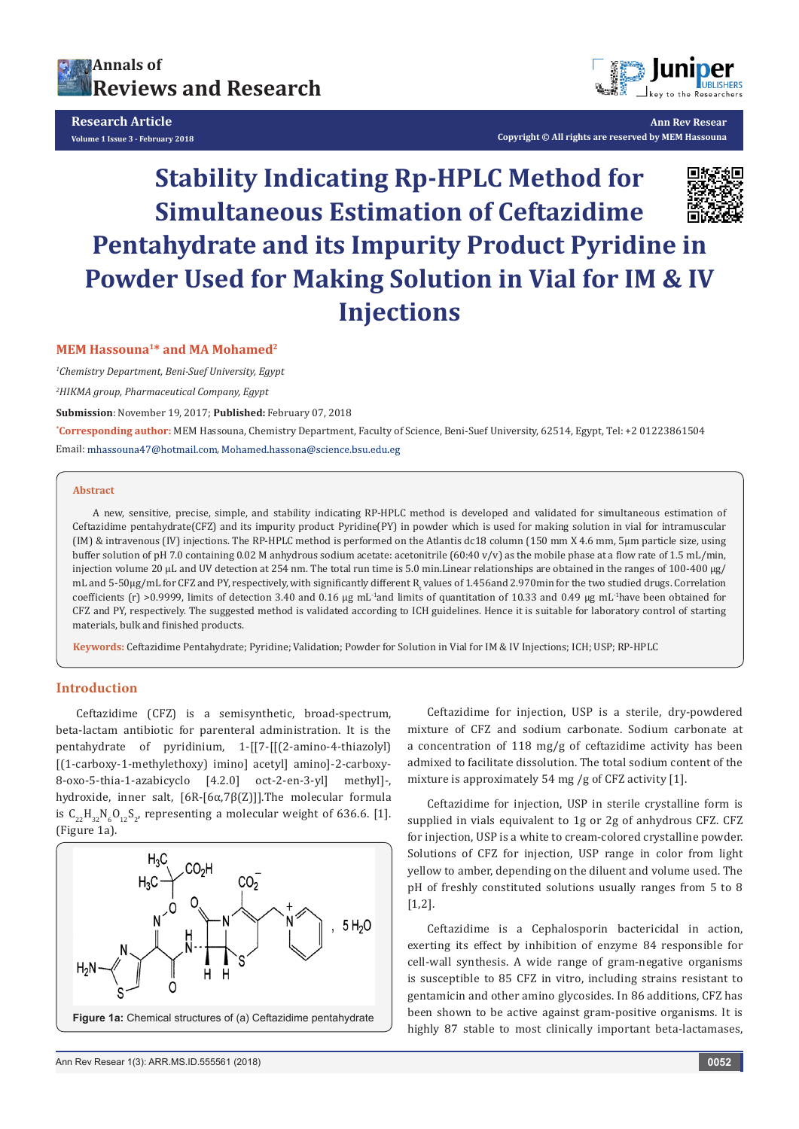



**Ann Rev Resear Copyright © All rights are reserved by MEM Hassouna**

# **Stability Indicating Rp-HPLC Method for Simultaneous Estimation of Ceftazidime Pentahydrate and its Impurity Product Pyridine in Powder Used for Making Solution in Vial for IM & IV Injections**

#### **MEM Hassouna1\* and MA Mohamed2**

*1 Chemistry Department, Beni-Suef University, Egypt*

*2 HIKMA group, Pharmaceutical Company, Egypt*

**Submission**: November 19, 2017; **Published:** February 07, 2018

**\* Corresponding author:** MEM Hassouna, Chemistry Department, Faculty of Science, Beni-Suef University, 62514, Egypt, Tel: +2 01223861504 Email: mhassouna47@hotmail.com, Mohamed.hassona@science.bsu.edu.eg

#### **Abstract**

A new, sensitive, precise, simple, and stability indicating RP-HPLC method is developed and validated for simultaneous estimation of Ceftazidime pentahydrate(CFZ) and its impurity product Pyridine(PY) in powder which is used for making solution in vial for intramuscular (IM) & intravenous (IV) injections. The RP-HPLC method is performed on the Atlantis dc18 column (150 mm X 4.6 mm, 5μm particle size, using buffer solution of pH 7.0 containing 0.02 M anhydrous sodium acetate: acetonitrile (60:40 v/v) as the mobile phase at a flow rate of 1.5 mL/min, injection volume 20 µL and UV detection at 254 nm. The total run time is 5.0 min.Linear relationships are obtained in the ranges of 100-400 µg/ mL and 5-50 $\mu$ g/mL for CFZ and PY, respectively, with significantly different R<sub>t</sub> values of 1.456and 2.970min for the two studied drugs. Correlation coefficients (r) >0.9999, limits of detection 3.40 and 0.16 µg mL-1and limits of quantitation of 10.33 and 0.49 µg mL-1have been obtained for CFZ and PY, respectively. The suggested method is validated according to ICH guidelines. Hence it is suitable for laboratory control of starting materials, bulk and finished products.

**Keywords:** Ceftazidime Pentahydrate; Pyridine; Validation; Powder for Solution in Vial for IM & IV Injections; ICH; USP; RP-HPLC

#### **Introduction**

Ceftazidime (CFZ) is a semisynthetic, broad-spectrum, beta-lactam antibiotic for parenteral administration. It is the pentahydrate of pyridinium, 1-[[7-[[(2-amino-4-thiazolyl) [(1-carboxy-1-methylethoxy) imino] acetyl] amino]-2-carboxy-8-oxo-5-thia-1-azabicyclo [4.2.0] oct-2-en-3-yl] methyl]-, hydroxide, inner salt, [6R-[6α,7β(Z)]].The molecular formula is  $C_{22}H_{32}N_6O_{12}S_2$ , representing a molecular weight of 636.6. [1]. (Figure 1a).



Ceftazidime for injection, USP is a sterile, dry-powdered mixture of CFZ and sodium carbonate. Sodium carbonate at a concentration of 118 mg/g of ceftazidime activity has been admixed to facilitate dissolution. The total sodium content of the mixture is approximately 54 mg /g of CFZ activity [1].

Ceftazidime for injection, USP in sterile crystalline form is supplied in vials equivalent to 1g or 2g of anhydrous CFZ. CFZ for injection, USP is a white to cream-colored crystalline powder. Solutions of CFZ for injection, USP range in color from light yellow to amber, depending on the diluent and volume used. The pH of freshly constituted solutions usually ranges from 5 to 8 [1,2].

Ceftazidime is a Cephalosporin bactericidal in action, exerting its effect by inhibition of enzyme 84 responsible for cell-wall synthesis. A wide range of gram-negative organisms is susceptible to 85 CFZ in vitro, including strains resistant to gentamicin and other amino glycosides. In 86 additions, CFZ has been shown to be active against gram-positive organisms. It is highly 87 stable to most clinically important beta-lactamases,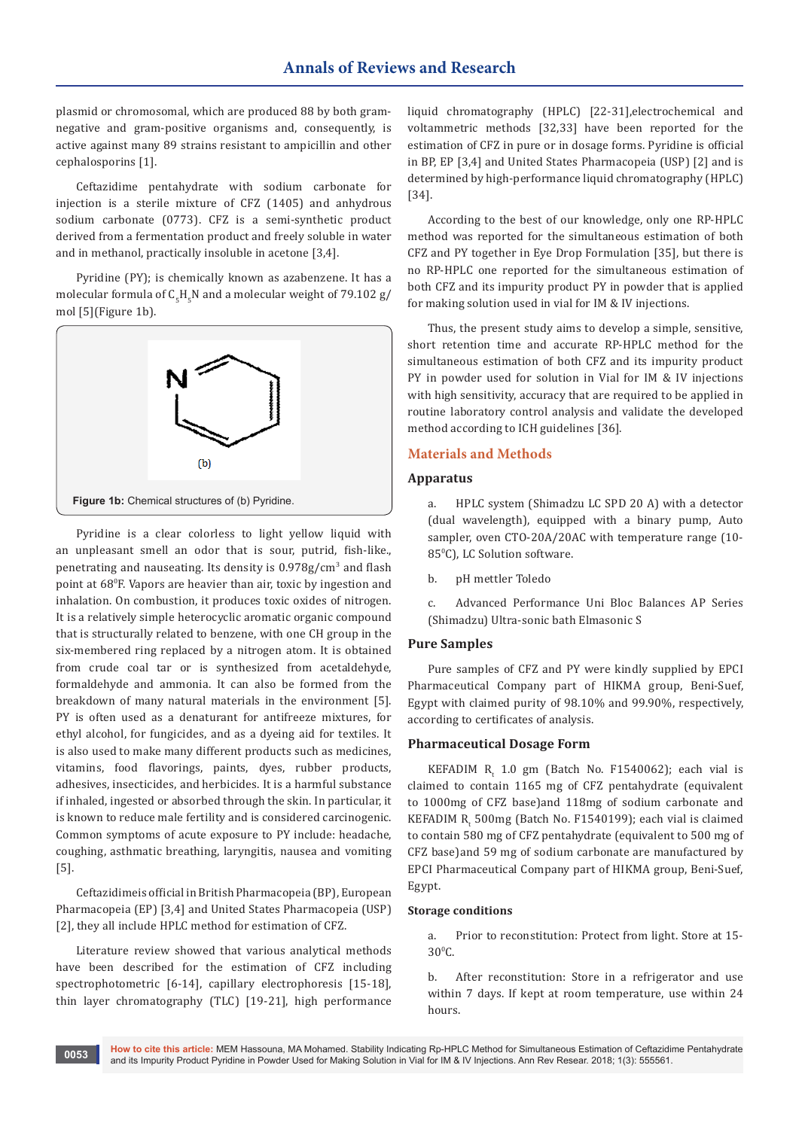plasmid or chromosomal, which are produced 88 by both gramnegative and gram-positive organisms and, consequently, is active against many 89 strains resistant to ampicillin and other cephalosporins [1].

Ceftazidime pentahydrate with sodium carbonate for injection is a sterile mixture of CFZ (1405) and anhydrous sodium carbonate (0773). CFZ is a semi-synthetic product derived from a fermentation product and freely soluble in water and in methanol, practically insoluble in acetone [3,4].

Pyridine (PY); is chemically known as azabenzene. It has a molecular formula of  $\mathsf{C}_{5}\mathsf{H}_{5}\mathsf{N}$  and a molecular weight of 79.102 g/ mol [5](Figure 1b).



Pyridine is a clear colorless to light yellow liquid with an unpleasant smell an odor that is sour, putrid, fish-like., penetrating and nauseating. Its density is 0.978g/cm<sup>3</sup> and flash point at 68<sup>0</sup> F. Vapors are heavier than air, toxic by ingestion and inhalation. On combustion, it produces toxic oxides of nitrogen. It is a relatively simple heterocyclic aromatic organic compound that is structurally related to benzene, with one CH group in the six-membered ring replaced by a nitrogen atom. It is obtained from crude coal tar or is synthesized from acetaldehyde, formaldehyde and ammonia. It can also be formed from the breakdown of many natural materials in the environment [5]. PY is often used as a denaturant for antifreeze mixtures, for ethyl alcohol, for fungicides, and as a dyeing aid for textiles. It is also used to make many different products such as medicines, vitamins, food flavorings, paints, dyes, rubber products, adhesives, insecticides, and herbicides. It is a harmful substance if inhaled, ingested or absorbed through the skin. In particular, it is known to reduce male fertility and is considered carcinogenic. Common symptoms of acute exposure to PY include: headache, coughing, asthmatic breathing, laryngitis, nausea and vomiting [5].

Ceftazidimeis official in British Pharmacopeia (BP), European Pharmacopeia (EP) [3,4] and United States Pharmacopeia (USP) [2], they all include HPLC method for estimation of CFZ.

Literature review showed that various analytical methods have been described for the estimation of CFZ including spectrophotometric [6-14], capillary electrophoresis [15-18], thin layer chromatography (TLC) [19-21], high performance liquid chromatography (HPLC) [22-31],electrochemical and voltammetric methods [32,33] have been reported for the estimation of CFZ in pure or in dosage forms. Pyridine is official in BP, EP [3,4] and United States Pharmacopeia (USP) [2] and is determined by high-performance liquid chromatography (HPLC) [34].

According to the best of our knowledge, only one RP-HPLC method was reported for the simultaneous estimation of both CFZ and PY together in Eye Drop Formulation [35], but there is no RP-HPLC one reported for the simultaneous estimation of both CFZ and its impurity product PY in powder that is applied for making solution used in vial for IM & IV injections.

Thus, the present study aims to develop a simple, sensitive, short retention time and accurate RP-HPLC method for the simultaneous estimation of both CFZ and its impurity product PY in powder used for solution in Vial for IM & IV injections with high sensitivity, accuracy that are required to be applied in routine laboratory control analysis and validate the developed method according to ICH guidelines [36].

## **Materials and Methods**

## **Apparatus**

a. HPLC system (Shimadzu LC SPD 20 A) with a detector (dual wavelength), equipped with a binary pump, Auto sampler, oven CTO-20A/20AC with temperature range (10- 85°C), LC Solution software.

b. pH mettler Toledo

c. Advanced Performance Uni Bloc Balances AP Series (Shimadzu) Ultra-sonic bath Elmasonic S

## **Pure Samples**

Pure samples of CFZ and PY were kindly supplied by EPCI Pharmaceutical Company part of HIKMA group, Beni-Suef, Egypt with claimed purity of 98.10% and 99.90%, respectively, according to certificates of analysis.

#### **Pharmaceutical Dosage Form**

KEFADIM  $R_t$  1.0 gm (Batch No. F1540062); each vial is claimed to contain 1165 mg of CFZ pentahydrate (equivalent to 1000mg of CFZ base)and 118mg of sodium carbonate and KEFADIM  $R_t$  500mg (Batch No. F1540199); each vial is claimed to contain 580 mg of CFZ pentahydrate (equivalent to 500 mg of CFZ base)and 59 mg of sodium carbonate are manufactured by EPCI Pharmaceutical Company part of HIKMA group, Beni-Suef, Egypt.

#### **Storage conditions**

a. Prior to reconstitution: Protect from light. Store at 15-  $30^{\circ}$ C.

b. After reconstitution: Store in a refrigerator and use within 7 days. If kept at room temperature, use within 24 hours.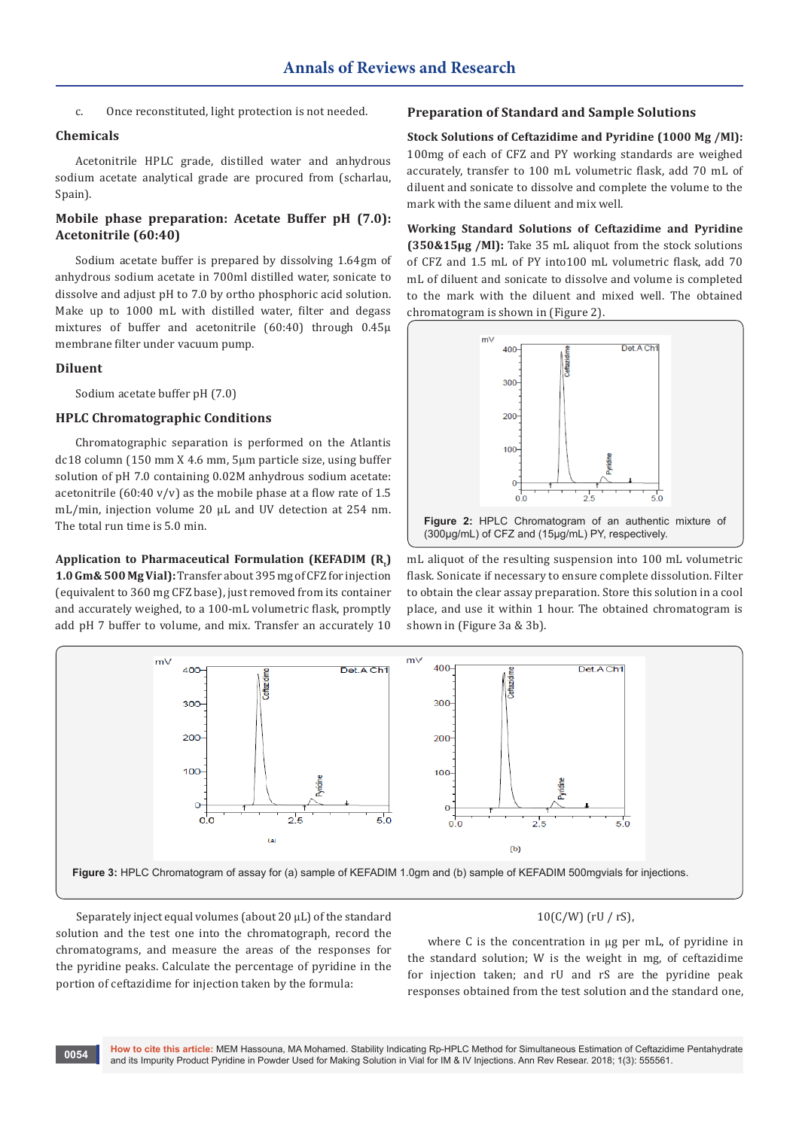c. Once reconstituted, light protection is not needed.

## **Chemicals**

Acetonitrile HPLC grade, distilled water and anhydrous sodium acetate analytical grade are procured from (scharlau, Spain).

## **Mobile phase preparation: Acetate Buffer pH (7.0): Acetonitrile (60:40)**

Sodium acetate buffer is prepared by dissolving 1.64gm of anhydrous sodium acetate in 700ml distilled water, sonicate to dissolve and adjust pH to 7.0 by ortho phosphoric acid solution. Make up to 1000 mL with distilled water, filter and degass mixtures of buffer and acetonitrile (60:40) through 0.45μ membrane filter under vacuum pump.

#### **Diluent**

Sodium acetate buffer pH (7.0)

## **HPLC Chromatographic Conditions**

Chromatographic separation is performed on the Atlantis dc18 column (150 mm X 4.6 mm, 5μm particle size, using buffer solution of pH 7.0 containing 0.02M anhydrous sodium acetate: acetonitrile  $(60:40 \text{ y/y})$  as the mobile phase at a flow rate of 1.5 mL/min, injection volume 20 µL and UV detection at 254 nm. The total run time is 5.0 min.

Application to Pharmaceutical Formulation (KEFADIM (R<sub>t</sub>) **1.0 Gm& 500 Mg Vial):** Transfer about 395 mg of CFZ for injection (equivalent to 360 mg CFZ base), just removed from its container and accurately weighed, to a 100-mL volumetric flask, promptly add pH 7 buffer to volume, and mix. Transfer an accurately 10

#### **Preparation of Standard and Sample Solutions**

**Stock Solutions of Ceftazidime and Pyridine (1000 Μg /Ml):** 100mg of each of CFZ and PY working standards are weighed accurately, transfer to 100 mL volumetric flask, add 70 mL of diluent and sonicate to dissolve and complete the volume to the mark with the same diluent and mix well.

**Working Standard Solutions of Ceftazidime and Pyridine (350&15μg /Ml):** Take 35 mL aliquot from the stock solutions of CFZ and 1.5 mL of PY into100 mL volumetric flask, add 70 mL of diluent and sonicate to dissolve and volume is completed to the mark with the diluent and mixed well. The obtained chromatogram is shown in (Figure 2).



mL aliquot of the resulting suspension into 100 mL volumetric flask. Sonicate if necessary to ensure complete dissolution. Filter to obtain the clear assay preparation. Store this solution in a cool place, and use it within 1 hour. The obtained chromatogram is shown in (Figure 3a & 3b).



Separately inject equal volumes (about 20 μL) of the standard solution and the test one into the chromatograph, record the chromatograms, and measure the areas of the responses for the pyridine peaks. Calculate the percentage of pyridine in the portion of ceftazidime for injection taken by the formula:

## 10(C/W) (rU / rS),

where C is the concentration in μg per mL, of pyridine in the standard solution; W is the weight in mg, of ceftazidime for injection taken; and rU and rS are the pyridine peak responses obtained from the test solution and the standard one,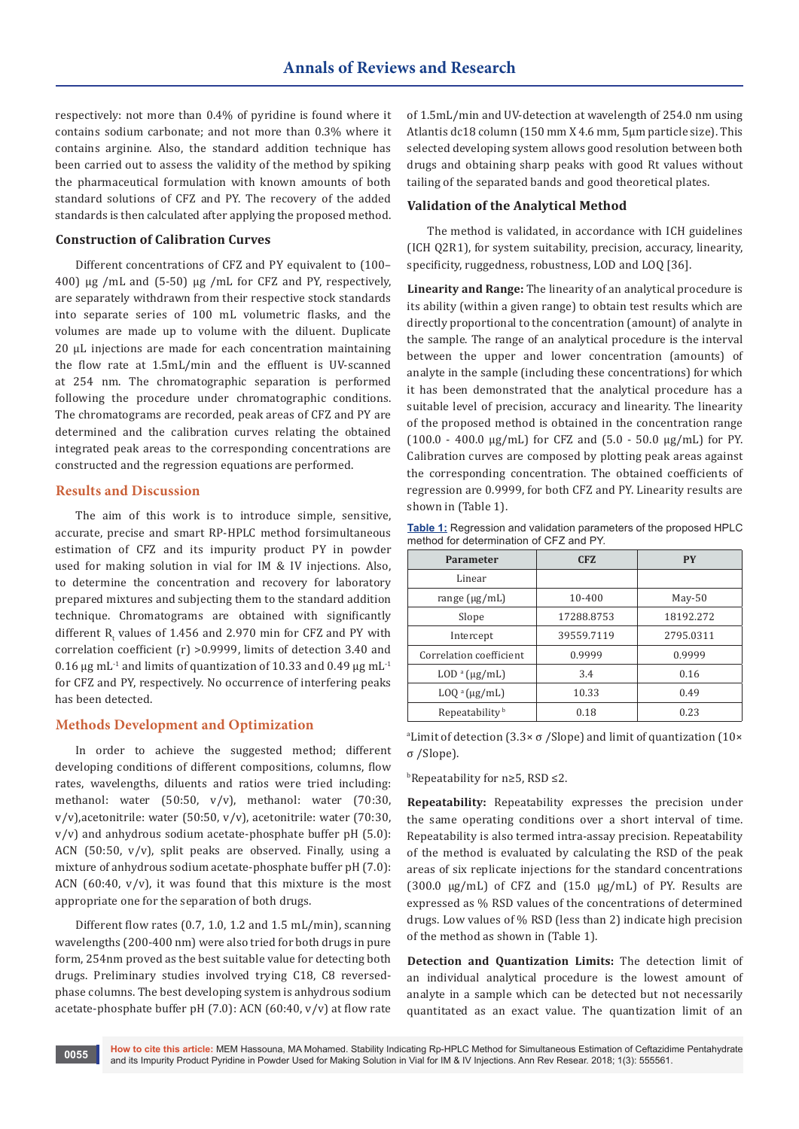respectively: not more than 0.4% of pyridine is found where it contains sodium carbonate; and not more than 0.3% where it contains arginine. Also, the standard addition technique has been carried out to assess the validity of the method by spiking the pharmaceutical formulation with known amounts of both standard solutions of CFZ and PY. The recovery of the added standards is then calculated after applying the proposed method.

#### **Construction of Calibration Curves**

Different concentrations of CFZ and PY equivalent to (100– 400) μg /mL and (5-50) μg /mL for CFZ and PY, respectively, are separately withdrawn from their respective stock standards into separate series of 100 mL volumetric flasks, and the volumes are made up to volume with the diluent. Duplicate 20 µL injections are made for each concentration maintaining the flow rate at 1.5mL/min and the effluent is UV-scanned at 254 nm. The chromatographic separation is performed following the procedure under chromatographic conditions. The chromatograms are recorded, peak areas of CFZ and PY are determined and the calibration curves relating the obtained integrated peak areas to the corresponding concentrations are constructed and the regression equations are performed.

#### **Results and Discussion**

The aim of this work is to introduce simple, sensitive, accurate, precise and smart RP-HPLC method forsimultaneous estimation of CFZ and its impurity product PY in powder used for making solution in vial for IM & IV injections. Also, to determine the concentration and recovery for laboratory prepared mixtures and subjecting them to the standard addition technique. Chromatograms are obtained with significantly different  $R_t$  values of 1.456 and 2.970 min for CFZ and PY with correlation coefficient (r) >0.9999, limits of detection 3.40 and 0.16  $\mu$ g mL<sup>-1</sup> and limits of quantization of 10.33 and 0.49  $\mu$ g mL<sup>-1</sup> for CFZ and PY, respectively. No occurrence of interfering peaks has been detected.

## **Methods Development and Optimization**

In order to achieve the suggested method; different developing conditions of different compositions, columns, flow rates, wavelengths, diluents and ratios were tried including: methanol: water (50:50, v/v), methanol: water (70:30, v/v),acetonitrile: water (50:50, v/v), acetonitrile: water (70:30, v/v) and anhydrous sodium acetate-phosphate buffer pH (5.0): ACN (50:50, v/v), split peaks are observed. Finally, using a mixture of anhydrous sodium acetate-phosphate buffer pH (7.0): ACN  $(60:40, v/v)$ , it was found that this mixture is the most appropriate one for the separation of both drugs.

Different flow rates (0.7, 1.0, 1.2 and 1.5 mL/min), scanning wavelengths (200-400 nm) were also tried for both drugs in pure form, 254nm proved as the best suitable value for detecting both drugs. Preliminary studies involved trying C18, C8 reversedphase columns. The best developing system is anhydrous sodium acetate-phosphate buffer pH  $(7.0)$ : ACN  $(60:40, v/v)$  at flow rate

of 1.5mL/min and UV-detection at wavelength of 254.0 nm using Atlantis dc18 column (150 mm X 4.6 mm, 5μm particle size). This selected developing system allows good resolution between both drugs and obtaining sharp peaks with good Rt values without tailing of the separated bands and good theoretical plates.

#### **Validation of the Analytical Method**

The method is validated, in accordance with ICH guidelines (ICH Q2R1), for system suitability, precision, accuracy, linearity, specificity, ruggedness, robustness, LOD and LOQ [36].

**Linearity and Range:** The linearity of an analytical procedure is its ability (within a given range) to obtain test results which are directly proportional to the concentration (amount) of analyte in the sample. The range of an analytical procedure is the interval between the upper and lower concentration (amounts) of analyte in the sample (including these concentrations) for which it has been demonstrated that the analytical procedure has a suitable level of precision, accuracy and linearity. The linearity of the proposed method is obtained in the concentration range  $(100.0 - 400.0 \text{ µg/mL})$  for CFZ and  $(5.0 - 50.0 \text{ µg/mL})$  for PY. Calibration curves are composed by plotting peak areas against the corresponding concentration. The obtained coefficients of regression are 0.9999, for both CFZ and PY. Linearity results are shown in (Table 1).

| <b>Table 1:</b> Regression and validation parameters of the proposed HPLC |  |
|---------------------------------------------------------------------------|--|
| method for determination of CFZ and PY.                                   |  |

| Parameter                  | <b>CFZ</b> | <b>PY</b> |
|----------------------------|------------|-----------|
| Linear                     |            |           |
| range $(\mu g/mL)$         | $10 - 400$ | $May-50$  |
| Slope                      | 17288.8753 | 18192.272 |
| Intercept                  | 39559.7119 | 2795.0311 |
| Correlation coefficient    | 0.9999     | 0.9999    |
| $LOD^a$ (µg/mL)            | 3.4        | 0.16      |
| $LOQ^a(\mu g/mL)$          | 10.33      | 0.49      |
| Repeatability <sup>b</sup> | 0.18       | 0.23      |

a Limit of detection (3.3× σ /Slope) and limit of quantization (10× σ /Slope).

b Repeatability for n≥5, RSD ≤2.

**Repeatability:** Repeatability expresses the precision under the same operating conditions over a short interval of time. Repeatability is also termed intra-assay precision. Repeatability of the method is evaluated by calculating the RSD of the peak areas of six replicate injections for the standard concentrations (300.0 μg/mL) of CFZ and (15.0 μg/mL) of PY. Results are expressed as % RSD values of the concentrations of determined drugs. Low values of % RSD (less than 2) indicate high precision of the method as shown in (Table 1).

**Detection and Quantization Limits:** The detection limit of an individual analytical procedure is the lowest amount of analyte in a sample which can be detected but not necessarily quantitated as an exact value. The quantization limit of an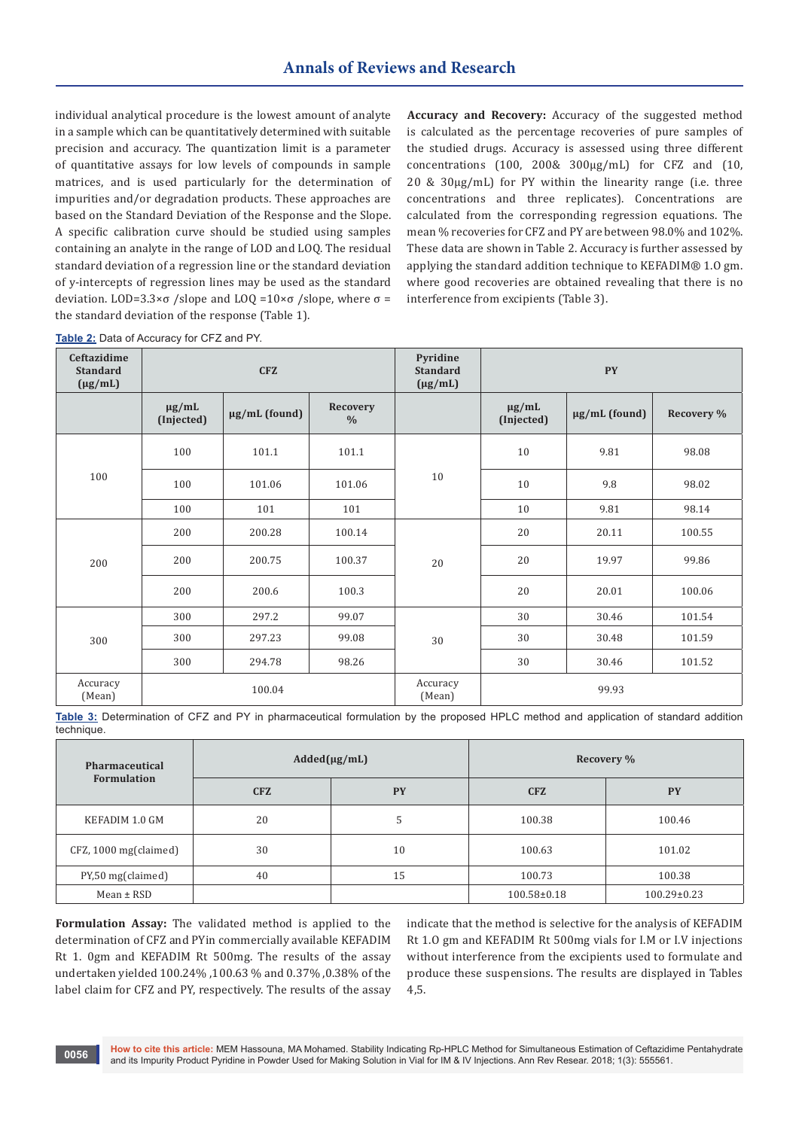individual analytical procedure is the lowest amount of analyte in a sample which can be quantitatively determined with suitable precision and accuracy. The quantization limit is a parameter of quantitative assays for low levels of compounds in sample matrices, and is used particularly for the determination of impurities and/or degradation products. These approaches are based on the Standard Deviation of the Response and the Slope. A specific calibration curve should be studied using samples containing an analyte in the range of LOD and LOQ. The residual standard deviation of a regression line or the standard deviation of y-intercepts of regression lines may be used as the standard deviation. LOD=3.3×σ /slope and LOQ =10×σ /slope, where  $σ =$ the standard deviation of the response (Table 1).

**Accuracy and Recovery:** Accuracy of the suggested method is calculated as the percentage recoveries of pure samples of the studied drugs. Accuracy is assessed using three different concentrations (100, 200& 300μg/mL) for CFZ and (10, 20 & 30μg/mL) for PY within the linearity range (i.e. three concentrations and three replicates). Concentrations are calculated from the corresponding regression equations. The mean % recoveries for CFZ and PY are between 98.0% and 102%. These data are shown in Table 2. Accuracy is further assessed by applying the standard addition technique to KEFADIM® 1.O gm. where good recoveries are obtained revealing that there is no interference from excipients (Table 3).

|  | Table 2: Data of Accuracy for CFZ and PY. |
|--|-------------------------------------------|
|--|-------------------------------------------|

| Ceftazidime<br><b>Standard</b><br>$(\mu g/mL)$ | <b>CFZ</b>               |                    | Pyridine<br><b>Standard</b><br>$(\mu g/mL)$ |                    | <b>PY</b>                |                    |            |
|------------------------------------------------|--------------------------|--------------------|---------------------------------------------|--------------------|--------------------------|--------------------|------------|
|                                                | $\mu$ g/mL<br>(Injected) | $\mu$ g/mL (found) | Recovery<br>$\frac{0}{0}$                   |                    | $\mu$ g/mL<br>(Injected) | $\mu$ g/mL (found) | Recovery % |
|                                                | 100                      | 101.1              | 101.1                                       |                    | 10                       | 9.81               | 98.08      |
| 100                                            | 100                      | 101.06             | 101.06                                      | 10                 | 10                       | 9.8                | 98.02      |
|                                                | 100                      | 101                | 101                                         |                    | 10                       | 9.81               | 98.14      |
|                                                | 200                      | 200.28             | 100.14                                      |                    | 20                       | 20.11              | 100.55     |
| 200                                            | 200                      | 200.75             | 100.37                                      | 20                 | 20                       | 19.97              | 99.86      |
|                                                | 200                      | 200.6              | 100.3                                       |                    | 20                       | 20.01              | 100.06     |
|                                                | 300                      | 297.2              | 99.07                                       |                    | 30                       | 30.46              | 101.54     |
| 300                                            | 300                      | 297.23             | 99.08                                       | 30                 | 30                       | 30.48              | 101.59     |
|                                                | 300                      | 294.78             | 98.26                                       |                    | 30                       | 30.46              | 101.52     |
| Accuracy<br>(Mean)                             |                          | 100.04             |                                             | Accuracy<br>(Mean) | 99.93                    |                    |            |

**Table 3:** Determination of CFZ and PY in pharmaceutical formulation by the proposed HPLC method and application of standard addition technique.

| Pharmaceutical           | $Added(\mu g/mL)$ |           |                   | Recovery %        |
|--------------------------|-------------------|-----------|-------------------|-------------------|
| <b>Formulation</b>       | <b>CFZ</b>        | <b>PY</b> | <b>CFZ</b>        | <b>PY</b>         |
| KEFADIM 1.0 GM           | 20                |           | 100.38            | 100.46            |
| $CFZ$ , 1000 mg(claimed) | 30                | 10        | 100.63            | 101.02            |
| PY,50 mg(claimed)        | 40                | 15        | 100.73            | 100.38            |
| $Mean \pm RSD$           |                   |           | $100.58 \pm 0.18$ | $100.29 \pm 0.23$ |

**Formulation Assay:** The validated method is applied to the determination of CFZ and PYin commercially available KEFADIM Rt 1. 0gm and KEFADIM Rt 500mg. The results of the assay undertaken yielded 100.24% ,100.63 % and 0.37% ,0.38% of the label claim for CFZ and PY, respectively. The results of the assay

indicate that the method is selective for the analysis of KEFADIM Rt 1.O gm and KEFADIM Rt 500mg vials for I.M or I.V injections without interference from the excipients used to formulate and produce these suspensions. The results are displayed in Tables 4,5.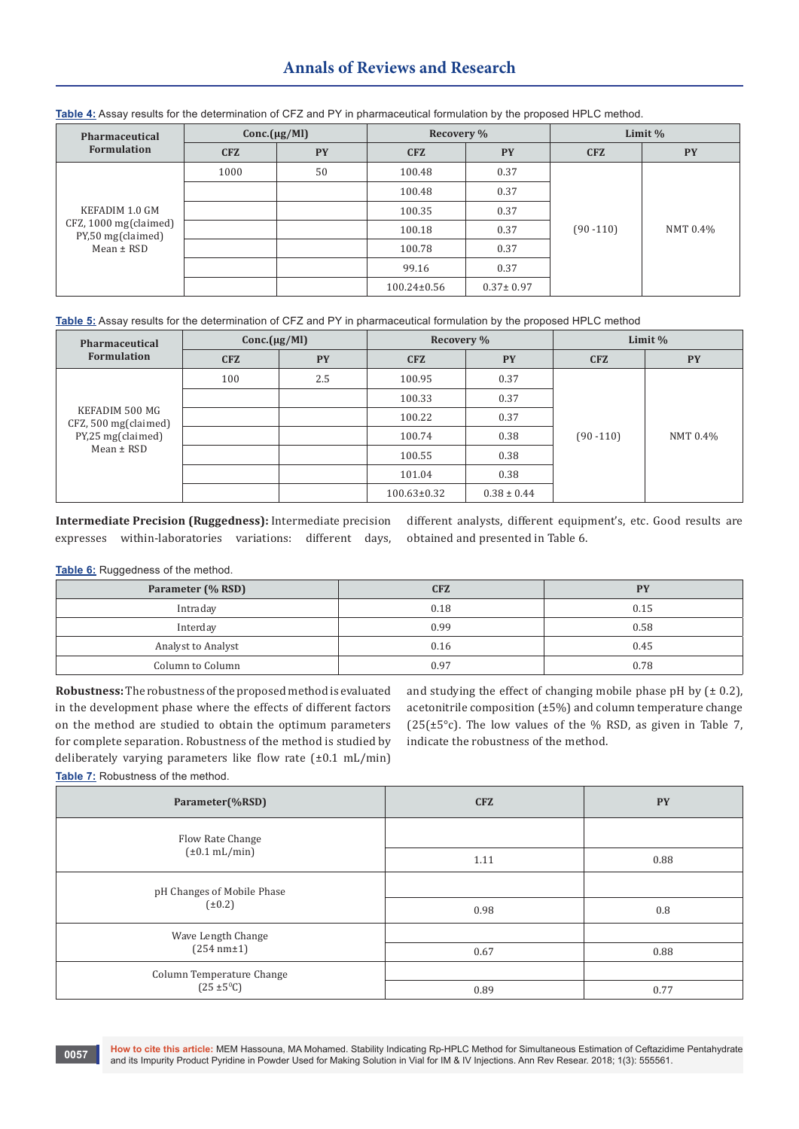# **Annals of Reviews and Research**

| Pharmaceutical                             | $Conc.(\mu g/Ml)$ |           | Recovery %        |                 | Limit %      |           |
|--------------------------------------------|-------------------|-----------|-------------------|-----------------|--------------|-----------|
| <b>Formulation</b>                         | <b>CFZ</b>        | <b>PY</b> | <b>CFZ</b>        | <b>PY</b>       | <b>CFZ</b>   | <b>PY</b> |
|                                            | 1000              | 50        | 100.48            | 0.37            |              |           |
|                                            |                   |           | 100.48            | 0.37            |              |           |
| KEFADIM 1.0 GM                             |                   |           | 100.35            | 0.37            |              |           |
| CFZ, 1000 mg(claimed)<br>PY,50 mg(claimed) |                   |           | 100.18            | 0.37            | $(90 - 110)$ | NMT 0.4%  |
| $Mean \pm RSD$                             |                   |           | 100.78            | 0.37            |              |           |
|                                            |                   |           | 99.16             | 0.37            |              |           |
|                                            |                   |           | $100.24 \pm 0.56$ | $0.37 \pm 0.97$ |              |           |

**Table 4:** Assay results for the determination of CFZ and PY in pharmaceutical formulation by the proposed HPLC method.

**Table 5:** Assay results for the determination of CFZ and PY in pharmaceutical formulation by the proposed HPLC method

| Pharmaceutical                         | Conc.(µg/Ml) |           | Recovery %        |                 |              | Limit $%$ |
|----------------------------------------|--------------|-----------|-------------------|-----------------|--------------|-----------|
| <b>Formulation</b>                     | <b>CFZ</b>   | <b>PY</b> | <b>CFZ</b>        | <b>PY</b>       | <b>CFZ</b>   | <b>PY</b> |
|                                        | 100          | 2.5       | 100.95            | 0.37            |              |           |
|                                        |              |           | 100.33            | 0.37            |              |           |
| KEFADIM 500 MG<br>CFZ, 500 mg(claimed) |              |           | 100.22            | 0.37            | $(90 - 110)$ | NMT 0.4%  |
| PY,25 mg(claimed)                      |              |           | 100.74            | 0.38            |              |           |
| $Mean \pm RSD$                         |              |           | 100.55            | 0.38            |              |           |
|                                        |              |           | 101.04            | 0.38            |              |           |
|                                        |              |           | $100.63 \pm 0.32$ | $0.38 \pm 0.44$ |              |           |

**Intermediate Precision (Ruggedness):** Intermediate precision expresses within-laboratories variations: different days, different analysts, different equipment's, etc. Good results are obtained and presented in Table 6.

**Table 6:** Ruggedness of the method.

| Parameter (% RSD)  | <b>CFZ</b> | <b>PY</b> |
|--------------------|------------|-----------|
| Intraday           | 0.18       | 0.15      |
| Interday           | 0.99       | 0.58      |
| Analyst to Analyst | 0.16       | 0.45      |
| Column to Column   | 0.97       | 0.78      |

**Robustness:** The robustness of the proposed method is evaluated in the development phase where the effects of different factors on the method are studied to obtain the optimum parameters for complete separation. Robustness of the method is studied by deliberately varying parameters like flow rate (±0.1 mL/min)

and studying the effect of changing mobile phase pH by  $(± 0.2)$ , acetonitrile composition (±5%) and column temperature change  $(25(\pm 5^{\circ}c)$ . The low values of the % RSD, as given in Table 7, indicate the robustness of the method.

**Table 7:** Robustness of the method.

| Parameter(%RSD)                           | <b>CFZ</b> | <b>PY</b> |
|-------------------------------------------|------------|-----------|
| Flow Rate Change                          |            |           |
| $(\pm 0.1 \text{ mL/min})$                | 1.11       | 0.88      |
| pH Changes of Mobile Phase<br>$(\pm 0.2)$ |            |           |
|                                           | 0.98       | 0.8       |
| Wave Length Change                        |            |           |
| (254 nm±1)                                | 0.67       | 0.88      |
| Column Temperature Change                 |            |           |
| $(25 \pm 5^{\circ}C)$                     | 0.89       | 0.77      |

**How to cite this article:** MEM Hassouna, MA Mohamed. Stability Indicating Rp-HPLC Method for Simultaneous Estimation of Ceftazidime Pentahydrate and its Impurity Product Phand Hassouna, MA Mohamed. Stability Indicating Rp-HPLC Method for Simultaneous Estimation of Ceftazidir (1987)<br>The sand its Impurity Product Pyridine in Powder Used for Making Solution in Vial fo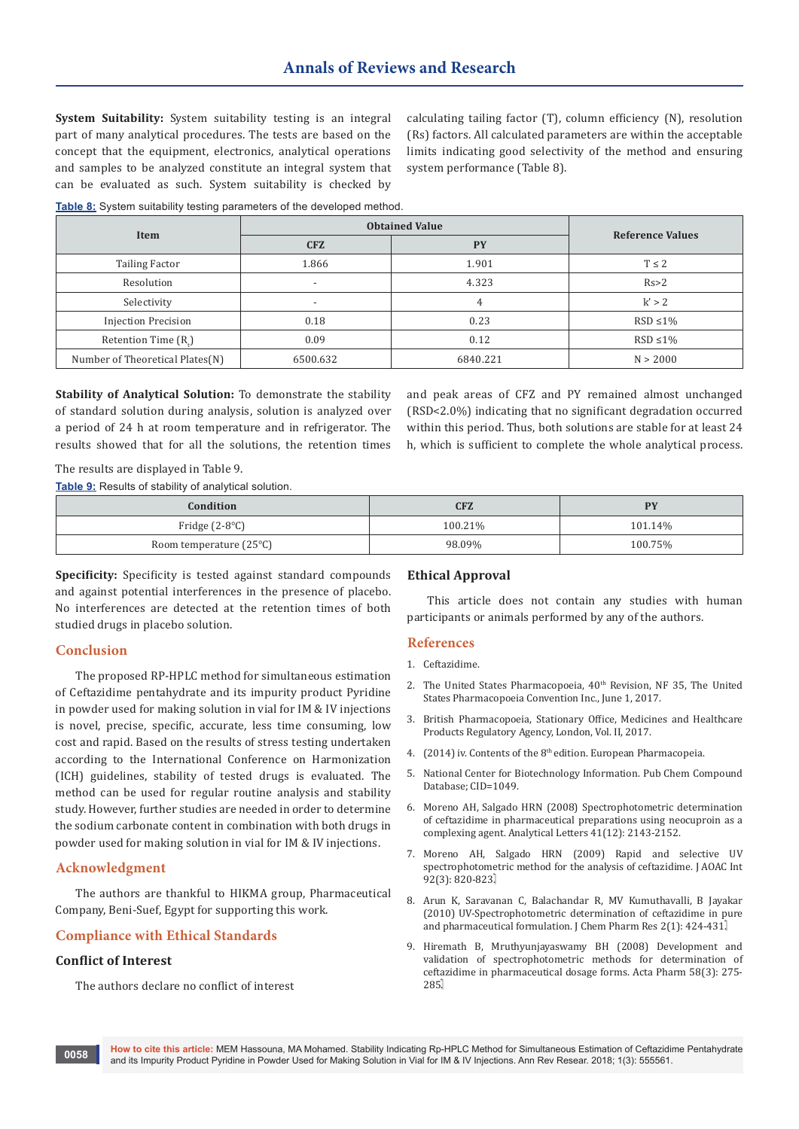**System Suitability:** System suitability testing is an integral part of many analytical procedures. The tests are based on the concept that the equipment, electronics, analytical operations and samples to be analyzed constitute an integral system that can be evaluated as such. System suitability is checked by

calculating tailing factor (T), column efficiency (N), resolution (Rs) factors. All calculated parameters are within the acceptable limits indicating good selectivity of the method and ensuring system performance (Table 8).

**Table 8:** System suitability testing parameters of the developed method.

|                                 | <b>Obtained Value</b>    |           |                         |
|---------------------------------|--------------------------|-----------|-------------------------|
| Item                            | <b>CFZ</b>               | <b>PY</b> | <b>Reference Values</b> |
| <b>Tailing Factor</b>           | 1.866                    | 1.901     | $T \leq 2$              |
| Resolution                      | $\overline{\phantom{a}}$ | 4.323     | Rs > 2                  |
| Selectivity                     | $\overline{\phantom{a}}$ | 4         | k' > 2                  |
| <b>Injection Precision</b>      | 0.18                     | 0.23      | $RSD \leq 1\%$          |
| Retention Time (R.)             | 0.09                     | 0.12      | $RSD \leq 1\%$          |
| Number of Theoretical Plates(N) | 6500.632                 | 6840.221  | N > 2000                |

**Stability of Analytical Solution:** To demonstrate the stability of standard solution during analysis, solution is analyzed over a period of 24 h at room temperature and in refrigerator. The results showed that for all the solutions, the retention times

and peak areas of CFZ and PY remained almost unchanged (RSD<2.0%) indicating that no significant degradation occurred within this period. Thus, both solutions are stable for at least 24 h, which is sufficient to complete the whole analytical process.

The results are displayed in Table 9.

**Table 9:** Results of stability of analytical solution.

| <b>Condition</b>                 | CFZ     | <b>DV</b> |
|----------------------------------|---------|-----------|
| Fridge $(2-8°C)$                 | 100.21% | 101.14%   |
| Room temperature $(25^{\circ}C)$ | 98.09%  | 100.75%   |

**Specificity:** Specificity is tested against standard compounds and against potential interferences in the presence of placebo. No interferences are detected at the retention times of both studied drugs in placebo solution.

#### **Conclusion**

The proposed RP-HPLC method for simultaneous estimation of Ceftazidime pentahydrate and its impurity product Pyridine in powder used for making solution in vial for IM & IV injections is novel, precise, specific, accurate, less time consuming, low cost and rapid. Based on the results of stress testing undertaken according to the International Conference on Harmonization (ICH) guidelines, stability of tested drugs is evaluated. The method can be used for regular routine analysis and stability study. However, further studies are needed in order to determine the sodium carbonate content in combination with both drugs in powder used for making solution in vial for IM & IV injections.

## **Acknowledgment**

The authors are thankful to HIKMA group, Pharmaceutical Company, Beni-Suef, Egypt for supporting this work.

## **Compliance with Ethical Standards**

## **Conflict of Interest**

The authors declare no conflict of interest

## **Ethical Approval**

This article does not contain any studies with human participants or animals performed by any of the authors.

## **References**

- 1. Ceftazidime.
- 2. The United States Pharmacopoeia,  $40<sup>th</sup>$  Revision, NF 35, The United States Pharmacopoeia Convention Inc., June 1, 2017.
- 3. British Pharmacopoeia, Stationary Office, Medicines and Healthcare Products Regulatory Agency, London, Vol. II, 2017.
- 4. [\(2014\) iv. Contents of the 8th edition. European Pharmacopeia.](https://www.edqm.eu/medias/fichiers/supplements_8th_edition.pdf)
- 5. National Center for Biotechnology Information. Pub Chem Compound Database; CID=1049.
- 6. [Moreno AH, Salgado HRN \(2008\) Spectrophotometric determination](http://www.tandfonline.com/doi/abs/10.1080/00032710802240818)  [of ceftazidime in pharmaceutical preparations using neocuproin as a](http://www.tandfonline.com/doi/abs/10.1080/00032710802240818)  [complexing agent. Analytical Letters 41\(12\): 2143-2152.](http://www.tandfonline.com/doi/abs/10.1080/00032710802240818)
- 7. [Moreno AH, Salgado HRN \(2009\) Rapid and selective UV](https://www.ncbi.nlm.nih.gov/pubmed/19610373)  [spectrophotometric method for the analysis of ceftazidime. J AOAC Int](https://www.ncbi.nlm.nih.gov/pubmed/19610373)  92(3): 820-823.
- 8. [Arun K, Saravanan C, Balachandar R, MV Kumuthavalli, B Jayakar](http://www.jocpr.com/articles/uv-spectrophotometric-determination-of-ceftazidime-in-pure-and-pharmaceutical-formulation.pdf)  [\(2010\) UV-Spectrophotometric determination of ceftazidime in pure](http://www.jocpr.com/articles/uv-spectrophotometric-determination-of-ceftazidime-in-pure-and-pharmaceutical-formulation.pdf)  [and pharmaceutical formulation. J Chem Pharm Res 2\(1\): 424-431.](http://www.jocpr.com/articles/uv-spectrophotometric-determination-of-ceftazidime-in-pure-and-pharmaceutical-formulation.pdf)
- 9. [Hiremath B, Mruthyunjayaswamy BH \(2008\) Development and](https://www.ncbi.nlm.nih.gov/pubmed/19103564)  [validation of spectrophotometric methods for determination of](https://www.ncbi.nlm.nih.gov/pubmed/19103564)  [ceftazidime in pharmaceutical dosage forms. Acta Pharm 58\(3\): 275-](https://www.ncbi.nlm.nih.gov/pubmed/19103564) [285.](https://www.ncbi.nlm.nih.gov/pubmed/19103564)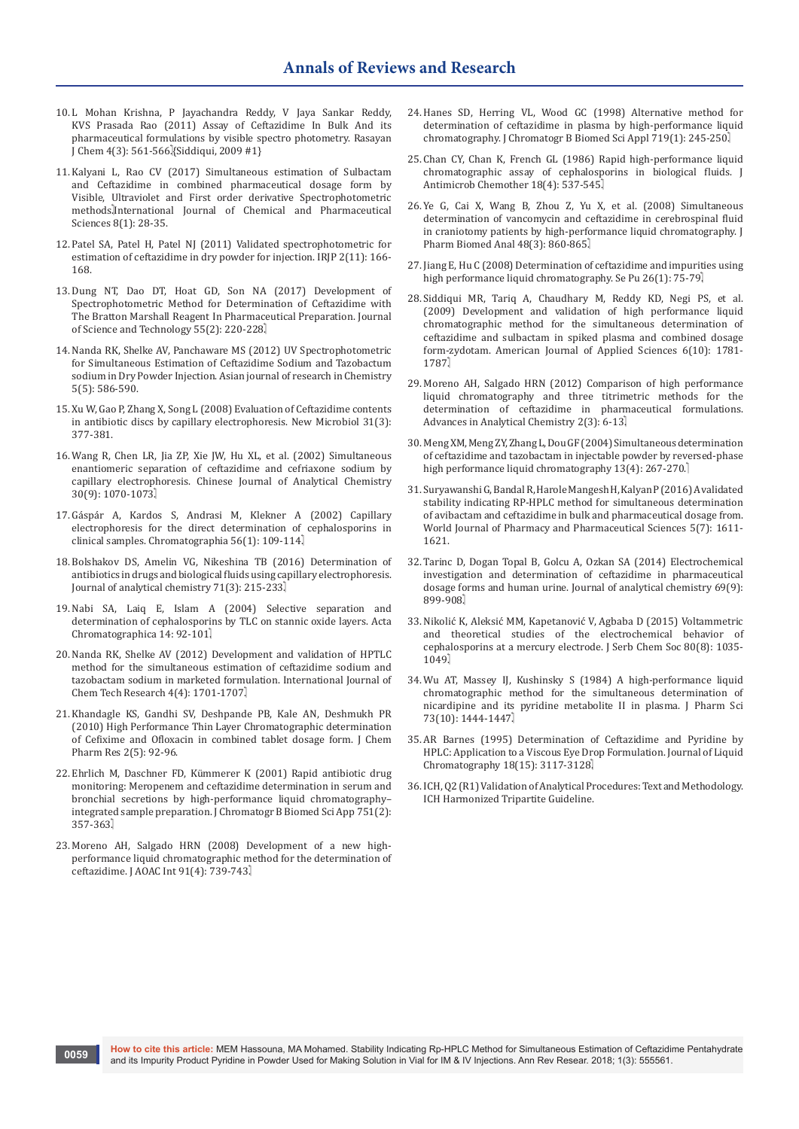- 10. [L Mohan Krishna, P Jayachandra Reddy, V Jaya Sankar Reddy,](http://www.rasayanjournal.co.in/vol-4/issue-3/11.pdf)  [KVS Prasada Rao \(2011\) Assay of Ceftazidime In Bulk And its](http://www.rasayanjournal.co.in/vol-4/issue-3/11.pdf) [pharmaceutical formulations by visible spectro photometry. Rasayan](http://www.rasayanjournal.co.in/vol-4/issue-3/11.pdf)  [J Chem 4\(3\): 561-566.](http://www.rasayanjournal.co.in/vol-4/issue-3/11.pdf)}Siddiqui, 2009 #1}
- 11. [Kalyani L, Rao CV \(2017\) Simultaneous estimation of Sulbactam](http://www.ijcps.com/files/vol8issue1/5.pdf)  [and Ceftazidime in combined pharmaceutical dosage form by](http://www.ijcps.com/files/vol8issue1/5.pdf) [Visible, Ultraviolet and First order derivative Spectrophotometric](http://www.ijcps.com/files/vol8issue1/5.pdf)  methods.[International Journal of Chemical and Pharmaceutical](http://www.ijcps.com/files/vol8issue1/5.pdf)  [Sciences 8\(1\): 28-35.](http://www.ijcps.com/files/vol8issue1/5.pdf)
- 12. [Patel SA, Patel H, Patel NJ \(2011\) Validated spectrophotometric for](http://www.irjponline.com/admin/php/uploads/706_pdf.pdf)  [estimation of ceftazidime in dry powder for injection. IRJP 2\(11\): 166-](http://www.irjponline.com/admin/php/uploads/706_pdf.pdf) [168.](http://www.irjponline.com/admin/php/uploads/706_pdf.pdf)
- 13. [Dung NT, Dao DT, Hoat GD, Son NA \(2017\) Development of](file:///C:\Users\User\Downloads\8676-36115-1-PB.pdf)  [Spectrophotometric Method for Determination of Ceftazidime with](file:///C:\Users\User\Downloads\8676-36115-1-PB.pdf)  [The Bratton Marshall Reagent In Pharmaceutical Preparation. Journal](file:///C:\Users\User\Downloads\8676-36115-1-PB.pdf)  [of Science and Technology 55\(2\): 220-228.](file:///C:\Users\User\Downloads\8676-36115-1-PB.pdf)
- 14. [Nanda RK, Shelke AV, Panchaware MS \(2012\) UV Spectrophotometric](http://web.b.ebscohost.com/abstract?direct=true&profile=ehost&scope=site&authtype=crawler&jrnl=09744169&AN=108560002&h=Pkm0wb%2busxUr7VHRSNtSGqzTnrWLnyBx2ZIG5hzQEGZ4OMXvl7KQVkSFWbzK40CKrK4Z23P%2bN%2fO6mRY4GuCPoQ%3d%3d&crl=f&resultNs=AdminWebAuth&resultLoca)  [for Simultaneous Estimation of Ceftazidime Sodium and Tazobactum](http://web.b.ebscohost.com/abstract?direct=true&profile=ehost&scope=site&authtype=crawler&jrnl=09744169&AN=108560002&h=Pkm0wb%2busxUr7VHRSNtSGqzTnrWLnyBx2ZIG5hzQEGZ4OMXvl7KQVkSFWbzK40CKrK4Z23P%2bN%2fO6mRY4GuCPoQ%3d%3d&crl=f&resultNs=AdminWebAuth&resultLoca)  [sodium in Dry Powder Injection. Asian journal of research in Chemistry](http://web.b.ebscohost.com/abstract?direct=true&profile=ehost&scope=site&authtype=crawler&jrnl=09744169&AN=108560002&h=Pkm0wb%2busxUr7VHRSNtSGqzTnrWLnyBx2ZIG5hzQEGZ4OMXvl7KQVkSFWbzK40CKrK4Z23P%2bN%2fO6mRY4GuCPoQ%3d%3d&crl=f&resultNs=AdminWebAuth&resultLoca)  [5\(5\): 586-590.](http://web.b.ebscohost.com/abstract?direct=true&profile=ehost&scope=site&authtype=crawler&jrnl=09744169&AN=108560002&h=Pkm0wb%2busxUr7VHRSNtSGqzTnrWLnyBx2ZIG5hzQEGZ4OMXvl7KQVkSFWbzK40CKrK4Z23P%2bN%2fO6mRY4GuCPoQ%3d%3d&crl=f&resultNs=AdminWebAuth&resultLoca)
- 15. [Xu W, Gao P, Zhang X, Song L \(2008\) Evaluation of Ceftazidime contents](https://www.ncbi.nlm.nih.gov/pubmed/18843893) [in antibiotic discs by capillary electrophoresis. New Microbiol 31\(3\):](https://www.ncbi.nlm.nih.gov/pubmed/18843893)  [377-381.](https://www.ncbi.nlm.nih.gov/pubmed/18843893)
- 16. [Wang R, Chen LR, Jia ZP, Xie JW, Hu XL, et al. \(2002\) Simultaneous](http://online.analchem.cn:8080/fxhx/EN/abstract/abstract4352.htm)  [enantiomeric separation of ceftazidime and cefriaxone sodium by](http://online.analchem.cn:8080/fxhx/EN/abstract/abstract4352.htm)  [capillary electrophoresis. Chinese Journal of Analytical Chemistry](http://online.analchem.cn:8080/fxhx/EN/abstract/abstract4352.htm)  30(9): 1070-1073]
- 17. [Gáspár A, Kardos S, Andrasi M, Klekner A \(2002\) Capillary](https://link.springer.com/article/10.1007/BF02494122)  [electrophoresis for the direct determination of cephalosporins in](https://link.springer.com/article/10.1007/BF02494122) [clinical samples. Chromatographia 56\(1\): 109-114.](https://link.springer.com/article/10.1007/BF02494122)
- 18. [Bolshakov DS, Amelin VG, Nikeshina TB \(2016\) Determination of](https://link.springer.com/article/10.1134/S1061934816010020)  [antibiotics in drugs and biological fluids using capillary electrophoresis.](https://link.springer.com/article/10.1134/S1061934816010020)  [Journal of analytical chemistry 71\(3\): 215-233.](https://link.springer.com/article/10.1134/S1061934816010020)
- 19. [Nabi SA, Laiq E, Islam A \(2004\) Selective separation and](https://www.us.edu.pl/uniwersytet/jednostki/wydzialy/chemia/acta/ac14/zrodla/08_AC14.pdf)  [determination of cephalosporins by TLC on stannic oxide layers. Acta](https://www.us.edu.pl/uniwersytet/jednostki/wydzialy/chemia/acta/ac14/zrodla/08_AC14.pdf) Chromatographica 14: 92-101.
- 20. [Nanda RK, Shelke AV \(2012\) Development and validation of HPTLC](http://www.sphinxsai.com/2012/oct-dec/chempdf/CT=65(1701-1707)OD12.pdf) [method for the simultaneous estimation of ceftazidime sodium and](http://www.sphinxsai.com/2012/oct-dec/chempdf/CT=65(1701-1707)OD12.pdf)  [tazobactam sodium in marketed formulation. International Journal of](http://www.sphinxsai.com/2012/oct-dec/chempdf/CT=65(1701-1707)OD12.pdf)  [Chem Tech Research 4\(4\): 1701-1707.](http://www.sphinxsai.com/2012/oct-dec/chempdf/CT=65(1701-1707)OD12.pdf)
- 21. [Khandagle KS, Gandhi SV, Deshpande PB, Kale AN, Deshmukh PR](http://www.jocpr.com/articles/high-performance-thin-layer-chromatographic-determination-of-cefixime-and-ofloxacin-in-combined-tablet-dosage-form.pdf)  [\(2010\) High Performance Thin Layer Chromatographic determination](http://www.jocpr.com/articles/high-performance-thin-layer-chromatographic-determination-of-cefixime-and-ofloxacin-in-combined-tablet-dosage-form.pdf) [of Cefixime and Ofloxacin in combined tablet dosage form. J Chem](http://www.jocpr.com/articles/high-performance-thin-layer-chromatographic-determination-of-cefixime-and-ofloxacin-in-combined-tablet-dosage-form.pdf)  [Pharm Res 2\(5\): 92-96.](http://www.jocpr.com/articles/high-performance-thin-layer-chromatographic-determination-of-cefixime-and-ofloxacin-in-combined-tablet-dosage-form.pdf)
- 22. [Ehrlich M, Daschner FD, Kümmerer K \(2001\) Rapid antibiotic drug](https://www.ncbi.nlm.nih.gov/pubmed/11236092)  [monitoring: Meropenem and ceftazidime determination in serum and](https://www.ncbi.nlm.nih.gov/pubmed/11236092) [bronchial secretions by high-performance liquid chromatography–](https://www.ncbi.nlm.nih.gov/pubmed/11236092) [integrated sample preparation. J Chromatogr B Biomed Sci App 751\(2\):](https://www.ncbi.nlm.nih.gov/pubmed/11236092)  [357-363.](https://www.ncbi.nlm.nih.gov/pubmed/11236092)
- 23. [Moreno AH, Salgado HRN \(2008\) Development of a new high](https://www.ncbi.nlm.nih.gov/pubmed/18727531)[performance liquid chromatographic method for the determination of](https://www.ncbi.nlm.nih.gov/pubmed/18727531) [ceftazidime. J AOAC Int 91\(4\): 739-743.](https://www.ncbi.nlm.nih.gov/pubmed/18727531)
- 24. [Hanes SD, Herring VL, Wood GC \(1998\) Alternative method for](https://www.ncbi.nlm.nih.gov/pubmed/9869388) [determination of ceftazidime in plasma by high-performance liquid](https://www.ncbi.nlm.nih.gov/pubmed/9869388) [chromatography. J Chromatogr B Biomed Sci Appl 719\(1\): 245-250.](https://www.ncbi.nlm.nih.gov/pubmed/9869388)
- 25. [Chan CY, Chan K, French GL \(1986\) Rapid high-performance liquid](https://www.ncbi.nlm.nih.gov/pubmed/3771435) [chromatographic assay of cephalosporins in biological fluids. J](https://www.ncbi.nlm.nih.gov/pubmed/3771435) [Antimicrob Chemother 18\(4\): 537-545.](https://www.ncbi.nlm.nih.gov/pubmed/3771435)
- 26. [Ye G, Cai X, Wang B, Zhou Z, Yu X, et al. \(2008\) Simultaneous](https://www.ncbi.nlm.nih.gov/pubmed/18657374) [determination of vancomycin and ceftazidime in cerebrospinal fluid](https://www.ncbi.nlm.nih.gov/pubmed/18657374) [in craniotomy patients by high-performance liquid chromatography. J](https://www.ncbi.nlm.nih.gov/pubmed/18657374) [Pharm Biomed Anal 48\(3\): 860-865.](https://www.ncbi.nlm.nih.gov/pubmed/18657374)
- 27. [Jiang E, Hu C \(2008\) Determination of ceftazidime and impurities using](https://www.ncbi.nlm.nih.gov/pubmed/18438029) [high performance liquid chromatography. Se Pu 26\(1\): 75-79.](https://www.ncbi.nlm.nih.gov/pubmed/18438029)
- 28. [Siddiqui MR, Tariq A, Chaudhary M, Reddy KD, Negi PS, et al.](https://pdfs.semanticscholar.org/63f4/ba508e49e3fb7839588587e91e555789f85c.pdf) [\(2009\) Development and validation of high performance liquid](https://pdfs.semanticscholar.org/63f4/ba508e49e3fb7839588587e91e555789f85c.pdf) [chromatographic method for the simultaneous determination of](https://pdfs.semanticscholar.org/63f4/ba508e49e3fb7839588587e91e555789f85c.pdf) [ceftazidime and sulbactam in spiked plasma and combined dosage](https://pdfs.semanticscholar.org/63f4/ba508e49e3fb7839588587e91e555789f85c.pdf) [form-zydotam. American Journal of Applied Sciences 6\(10\): 1781-](https://pdfs.semanticscholar.org/63f4/ba508e49e3fb7839588587e91e555789f85c.pdf) [1787.](https://pdfs.semanticscholar.org/63f4/ba508e49e3fb7839588587e91e555789f85c.pdf)
- 29. [Moreno AH, Salgado HRN \(2012\) Comparison of high performance](http://article.sapub.org/10.5923.j.aac.20120203.01.html) [liquid chromatography and three titrimetric methods for the](http://article.sapub.org/10.5923.j.aac.20120203.01.html) [determination of ceftazidime in pharmaceutical formulations.](http://article.sapub.org/10.5923.j.aac.20120203.01.html) [Advances in Analytical Chemistry 2\(3\): 6-13.](http://article.sapub.org/10.5923.j.aac.20120203.01.html)
- 30. [Meng XM, Meng ZY, Zhang L, Dou GF \(2004\) Simultaneous determination](http://118.145.16.238/Jwk_zgyxen/EN/abstract/abstract253.shtml) [of ceftazidime and tazobactam in injectable powder by reversed-phase](http://118.145.16.238/Jwk_zgyxen/EN/abstract/abstract253.shtml) [high performance liquid chromatography 13\(4\): 267-270.](http://118.145.16.238/Jwk_zgyxen/EN/abstract/abstract253.shtml)
- 31. [Suryawanshi G, Bandal R, Harole Mangesh H, Kalyan P \(2016\) A validated](file:///C:\Users\User\Downloads\article_wjpps_1467681109.pdf) [stability indicating RP-HPLC method for simultaneous determination](file:///C:\Users\User\Downloads\article_wjpps_1467681109.pdf) [of avibactam and ceftazidime in bulk and pharmaceutical dosage from.](file:///C:\Users\User\Downloads\article_wjpps_1467681109.pdf) [World Journal of Pharmacy and Pharmaceutical Sciences 5\(7\): 1611-](file:///C:\Users\User\Downloads\article_wjpps_1467681109.pdf) [1621.](file:///C:\Users\User\Downloads\article_wjpps_1467681109.pdf)
- 32. [Tarinc D, Dogan Topal B, Golcu A, Ozkan SA \(2014\) Electrochemical](https://link.springer.com/article/10.1134/S1061934814090056) [investigation and determination of ceftazidime in pharmaceutical](https://link.springer.com/article/10.1134/S1061934814090056) [dosage forms and human urine. Journal of analytical chemistry 69\(9\):](https://link.springer.com/article/10.1134/S1061934814090056) [899-908.](https://link.springer.com/article/10.1134/S1061934814090056)
- 33. [Nikolić K, Aleksić MM, Kapetanović V, Agbaba D \(2015\) Voltammetric](http://www.doiserbia.nb.rs/img/doi/0352-5139/2015/0352-51391500019N.pdf) [and theoretical studies of the electrochemical behavior of](http://www.doiserbia.nb.rs/img/doi/0352-5139/2015/0352-51391500019N.pdf) [cephalosporins at a mercury electrode. J Serb Chem Soc 80\(8\): 1035-](http://www.doiserbia.nb.rs/img/doi/0352-5139/2015/0352-51391500019N.pdf) [1049.](http://www.doiserbia.nb.rs/img/doi/0352-5139/2015/0352-51391500019N.pdf)
- 34. [Wu AT, Massey IJ, Kushinsky S \(1984\) A high-performance liquid](https://www.ncbi.nlm.nih.gov/pubmed/6502496) [chromatographic method for the simultaneous determination of](https://www.ncbi.nlm.nih.gov/pubmed/6502496) [nicardipine and its pyridine metabolite II in plasma. J Pharm Sci](https://www.ncbi.nlm.nih.gov/pubmed/6502496) 73(10): 1444-1447.
- 35. [AR Barnes \(1995\) Determination of Ceftazidime and Pyridine by](http://www.tandfonline.com/doi/abs/10.1080/10826079508010437) [HPLC: Application to a Viscous Eye Drop Formulation. Journal of Liquid](http://www.tandfonline.com/doi/abs/10.1080/10826079508010437) Chromatography 18(15): 3117-3128.
- 36. [ICH, Q2 \(R1\) Validation of Analytical Procedures: Text and Methodology.](https://www.ich.org/fileadmin/Public_Web_Site/ICH_Products/Guidelines/Quality/Q2_R1/Step4/Q2_R1__Guideline.pdf) [ICH Harmonized Tripartite Guideline.](https://www.ich.org/fileadmin/Public_Web_Site/ICH_Products/Guidelines/Quality/Q2_R1/Step4/Q2_R1__Guideline.pdf)